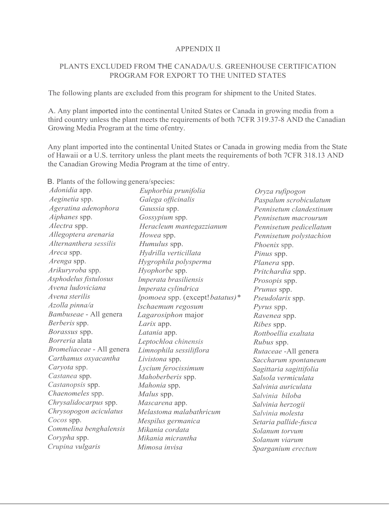#### APPENDIX II

### PLANTS EXCLUDED FROM THE CANADA/U.S. GREENHOUSE CERTIFICATION PROGRAM FOR EXPORT TO THE UNITED STATES

The following plants are excluded from this program for shipment to the United States.

A. Any plant imported into the continental United States or Canada in growing media from a third country unless the plant meets the requirements of both 7CFR 319.37-8 AND the Canadian Growing Media Program at the time of entry.

Any plant imported into the continental United States or Canada in growing media from the State of Hawaii or a U.S. territory unless the plant meets the requirements of both 7CFR 318.13 AND the Canadian Growing Media Program at the time of entry.

B. Plants of the following genera/species:

| Adonidia app.             | Euphorbia prunifolia            | Oryza rufipogon         |
|---------------------------|---------------------------------|-------------------------|
| Aeginetia spp.            | Galega officinalis              | Paspalum scrobiculatum  |
| Ageratina adenophora      | Gaussia spp.                    | Pennisetum clandestinum |
| Aiphanes spp.             | Gossypium spp.                  | Pennisetum macrourum    |
| Alectra spp.              | Heracleum mantegazzianum        | Pennisetum pedicellatum |
| Allegoptera arenaria      | Howea spp.                      | Pennisetum polystachion |
| Alternanthera sessilis    | Humulus spp.                    | Phoenix spp.            |
| Areca spp.                | Hydrilla verticillata           | Pinus spp.              |
| Arenga spp.               | Hygrophila polysperma           | Planera spp.            |
| Arikuryroba spp.          | Hyophorbe spp.                  | Pritchardia spp.        |
| Asphodelus fistulosus     | Imperata brasiliensis           | Prosopis spp.           |
| Avena ludoviciana         | Imperata cylindrica             | Prunus spp.             |
| Avena sterilis            | lpomoea spp. (except! batatus)* | Pseudolarix spp.        |
| Azolla pinna/a            | lschaemum regosum               | Pyrus spp.              |
| Bambuseae - All genera    | Lagarosiphon major              | Ravenea spp.            |
| Berberis spp.             | Larix app.                      | Ribes spp.              |
| Borassus spp.             | Latania app.                    | Rottboellia exaltata    |
| Borreria alata            | Leptochloa chinensis            | Rubus spp.              |
| Bromeliaceae - All genera | Limnophila sessiliflora         | Rutaceae - All genera   |
| Carthamus oxyacantha      | Livistona spp.                  | Saccharum spontaneum    |
| Caryota spp.              | Lycium ferocissimum             | Sagittaria sagittifolia |
| Castanea spp.             | Mahoberberis spp.               | Salsola vermiculata     |
| Castanopsis spp.          | Mahonia spp.                    | Salvinia auriculata     |
| Chaenomeles spp.          | Malus spp.                      | Salvinia biloba         |
| Chrysalidocarpus spp.     | Mascarena app.                  | Salvinia herzogii       |
| Chrysopogon aciculatus    | Melastoma malabathricum         | Salvinia molesta        |
| Cocos spp.                | Mespilus germanica              | Setaria pallide-fusca   |
| Commelina benghalensis    | Mikania cordata                 | Solanum torvum          |
| Corypha spp.              | Mikania micrantha               | Solanum viarum          |
| Crupina vulgaris          | Mimosa invisa                   | Sparganium erectum      |
|                           |                                 |                         |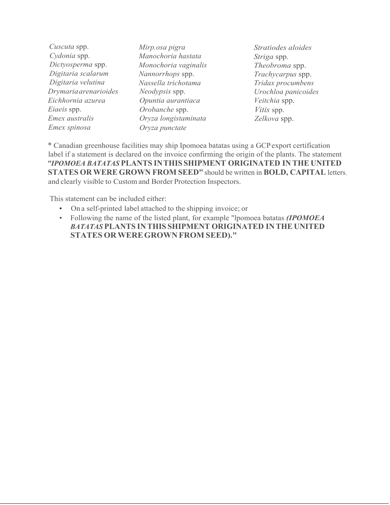| Cuscuta spp.          | Mirp.osa pigra       |
|-----------------------|----------------------|
| Cydonia spp.          | Manochoria hastata   |
| Dictyosperma spp.     | Monochoria vaginalis |
| Digitaria scalarum    | Nannorrhops spp.     |
| Digitaria velutina    | Nassella trichotama  |
| Drymaria arenarioides | Neodypsis spp.       |
| Eichhornia azurea     | Opuntia aurantiaca   |
| Eiaeis spp.           | Orobanche spp.       |
| Emex australis        | Oryza longistaminata |
| Emex spinosa          | Oryza punctate       |
|                       |                      |

*Stratiodes aloides Striga* spp. *Theobroma* spp. *Trachycarpus* spp. *Tridax procumbens Urochloa panicoides Veitchia* spp. *Vitis* spp. *Zelkova* spp.

\* Canadian greenhouse facilities may ship Ipomoea batatas using a GCP export certification label if a statement is declared on the invoice confirming the origin of the plants. The statement *"IPOMOEA BATATAS* **PLANTS IN THIS SHIPMENT ORIGINATED IN THE UNITED STATES OR WERE GROWN FROM SEED"** should be written in **BOLD, CAPITAL** letters, and clearly visible to Custom and Border Protection Inspectors.

This statement can be included either:

- On a self-printed label attached to the shipping invoice; or
- Following the name of the listed plant, for example "lpomoea batatas *(IPOMOEA BATATAS* **PLANTS IN THIS SHIPMENT ORIGINATED IN THE UNITED STATES OR WERE GROWN FROM SEED)."**